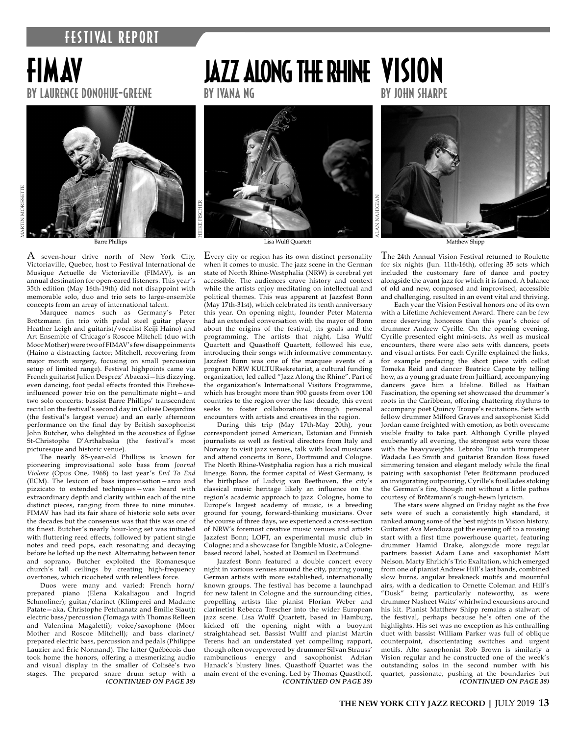### **FESTIVAL REPORT**

## fimav by laurence donohue-greene



Barre Phillips

A seven-hour drive north of New York City, Victoriaville, Quebec, host to Festival International de Musique Actuelle de Victoriaville (FIMAV), is an annual destination for open-eared listeners. This year's 35th edition (May 16th-19th) did not disappoint with memorable solo, duo and trio sets to large-ensemble concepts from an array of international talent.

Marquee names such as Germany's Peter Brötzmann (in trio with pedal steel guitar player Heather Leigh and guitarist/vocalist Keiji Haino) and Art Ensemble of Chicago's Roscoe Mitchell (duo with Moor Mother) were two of FIMAV's few disappoinments (Haino a distracting factor; Mitchell, recovering from major mouth surgery, focusing on small percussion setup of limited range). Festival highpoints came via French guitarist Julien Desprez' Abacaxi—his dizzying, even dancing, foot pedal effects fronted this Firehoseinfluenced power trio on the penultimate night—and two solo concerts: bassist Barre Phillips' transcendent recital on the festival's second day in Colisée Desjardins (the festival's largest venue) and an early afternoon performance on the final day by British saxophonist John Butcher, who delighted in the acoustics of Église St-Christophe D'Arthabaska (the festival's most picturesque and historic venue).

The nearly 85-year-old Phillips is known for pioneering improvisational solo bass from *Journal Violone* (Opus One, 1968) to last year's *End To End*  (ECM). The lexicon of bass improvisation—arco and pizzicato to extended techniques—was heard with extraordinary depth and clarity within each of the nine distinct pieces, ranging from three to nine minutes. FIMAV has had its fair share of historic solo sets over the decades but the consensus was that this was one of its finest. Butcher's nearly hour-long set was initiated with fluttering reed effects, followed by patient single notes and reed pops, each resonating and decaying before he lofted up the next. Alternating between tenor and soprano, Butcher exploited the Romanesque church's tall ceilings by creating high-frequency overtones, which ricocheted with relentless force.

Duos were many and varied: French horn/ prepared piano (Elena Kakaliagou and Ingrid Schmoliner); guitar/clarinet (Klimperei and Madame Patate—aka, Christophe Petchanatz and Émilie Siaut); electric bass/percussion (Tomaga with Thomas Relleen and Valentina Magaletti); voice/saxophone (Moor Mother and Roscoe Mitchell); and bass clarinet/ prepared electric bass, percussion and pedals (Philippe Lauzier and Éric Normand). The latter Québécois duo took home the honors, offering a mesmerizing audio and visual display in the smaller of Colisée's two stages. The prepared snare drum setup with a *(CONTINUED ON PAGE 38)*

# JAZZ ALONG THE RHINE VISION

by ivana ng



[Lisa Wulff Quartett](https://www.jazzfest-bonn.de/en/)

Every city or region has its own distinct personality when it comes to music. The jazz scene in the German state of North Rhine-Westphalia (NRW) is cerebral yet accessible. The audiences crave history and context while the artists enjoy meditating on intellectual and political themes. This was apparent at Jazzfest Bonn (May 17th-31st), which celebrated its tenth anniversary this year. On opening night, founder Peter Materna had an extended conversation with the mayor of Bonn about the origins of the festival, its goals and the programming. The artists that night, Lisa Wulff Quartett and Quasthoff Quartett, followed his cue, introducing their songs with informative commentary. Jazzfest Bonn was one of the marquee events of a program NRW KULTURsekretariat, a cultural funding organization, led called "Jazz Along the Rhine". Part of the organization's International Visitors Programme, which has brought more than 900 guests from over 100 countries to the region over the last decade, this event seeks to foster collaborations through personal encounters with artists and creatives in the region.

During this trip (May 17th-May 20th), your correspondent joined American, Estonian and Finnish journalists as well as festival directors from Italy and Norway to visit jazz venues, talk with local musicians and attend concerts in Bonn, Dortmund and Cologne. The North Rhine-Westphalia region has a rich musical lineage. Bonn, the former capital of West Germany, is the birthplace of Ludvig van Beethoven, the city's classical music heritage likely an influence on the region's academic approach to jazz. Cologne, home to Europe's largest academy of music, is a breeding ground for young, forward-thinking musicians. Over the course of three days, we experienced a cross-section of NRW's foremost creative music venues and artists: Jazzfest Bonn; LOFT, an experimental music club in Cologne; and a showcase for Tangible Music, a Colognebased record label, hosted at Domicil in Dortmund.

Jazzfest Bonn featured a double concert every night in various venues around the city, pairing young German artists with more established, internationally known groups. The festival has become a launchpad for new talent in Cologne and the surrounding cities, propelling artists like pianist Florian Weber and clarinetist Rebecca Trescher into the wider European jazz scene. Lisa Wulff Quartett, based in Hamburg, kicked off the opening night with a buoyant straightahead set. Bassist Wulff and pianist Martin Terens had an understated yet compelling rapport, though often overpowered by drummer Silvan Strauss' rambunctious energy and saxophonist Adrian Hanack's blustery lines. Quasthoff Quartet was the main event of the evening. Led by Thomas Quasthoff, *(CONTINUED ON PAGE 38)*

by john sharpe

Matthew Shipp

The 24th Annual Vision Festival returned to Roulette for six nights (Jun. 11th-16th), offering 35 sets which included the customary fare of dance and poetry alongside the avant jazz for which it is famed. A balance of old and new, composed and improvised, accessible and challenging, resulted in an event vital and thriving.

Each year the Vision Festival honors one of its own with a Lifetime Achievement Award. There can be few more deserving honorees than this year's choice of drummer Andrew Cyrille. On the opening evening, Cyrille presented eight mini-sets. As well as musical encounters, there were also sets with dancers, poets and visual artists. For each Cyrille explained the links, for example prefacing the short piece with cellist Tomeka Reid and dancer Beatrice Capote by telling how, as a young graduate from Juilliard, accompanying dancers gave him a lifeline. Billed as Haitian Fascination, the opening set showcased the drummer's roots in the Caribbean, offering chattering rhythms to accompany poet Quincy Troupe's recitations. Sets with fellow drummer Milford Graves and saxophonist Kidd Jordan came freighted with emotion, as both overcame visible frailty to take part. Although Cyrille played exuberantly all evening, the strongest sets were those with the heavyweights. Lebroba Trio with trumpeter Wadada Leo Smith and guitarist Brandon Ross fused simmering tension and elegant melody while the final pairing with saxophonist Peter Brötzmann produced an invigorating outpouring, Cyrille's fusillades stoking the German's fire, though not without a little pathos courtesy of Brötzmann's rough-hewn lyricism.

The stars were aligned on Friday night as the five sets were of such a consistently high standard, it ranked among some of the best nights in Vision history. Guitarist Ava Mendoza got the evening off to a rousing start with a first time powerhouse quartet, featuring drummer Hamid Drake, alongside more regular partners bassist Adam Lane and saxophonist Matt Nelson. Marty Ehrlich's Trio Exaltation, which emerged from one of pianist Andrew Hill's last bands, combined slow burns, angular breakneck motifs and mournful airs, with a dedication to Ornette Coleman and Hill's "Dusk" being particularly noteworthy, as were drummer Nasheet Waits' whirlwind excursions around his kit. Pianist Matthew Shipp remains a stalwart of the festival, perhaps because he's often one of the highlights. His set was no exception as his enthralling duet with bassist William Parker was full of oblique counterpoint, disorientating switches and urgent motifs. Alto saxophonist Rob Brown is similarly a Vision regular and he constructed one of the week's outstanding solos in the second number with his quartet, passionate, pushing at the boundaries but *(CONTINUED ON PAGE 38)*